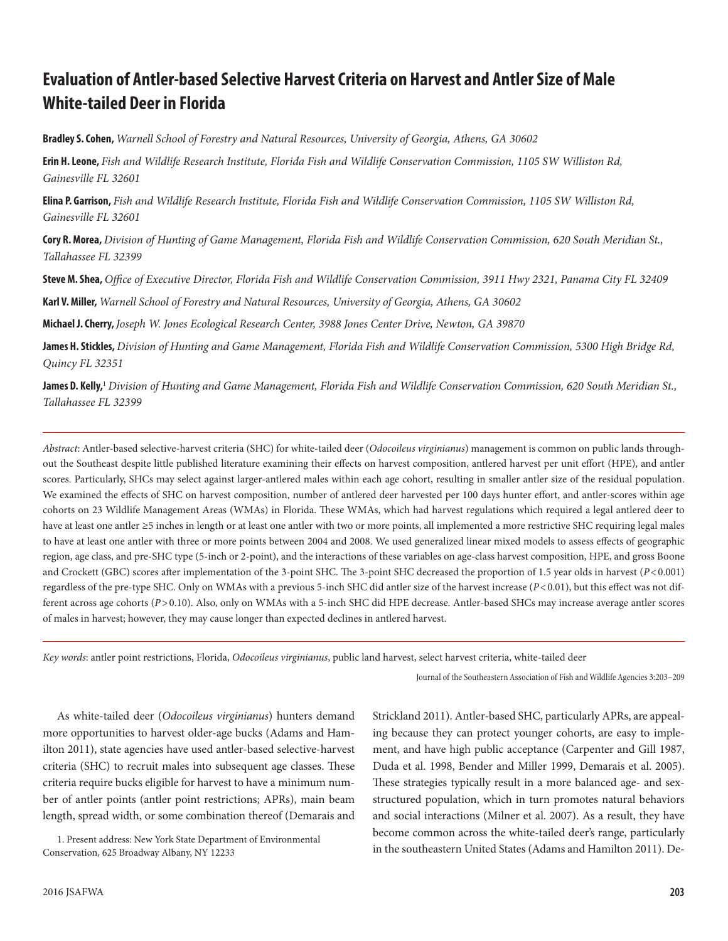# **Evaluation of Antler-based Selective Harvest Criteria on Harvest and Antler Size of Male White-tailed Deer in Florida**

**Bradley S. Cohen,** *Warnell School of Forestry and Natural Resources, University of Georgia, Athens, GA 30602*

**Erin H. Leone,** *Fish and Wildlife Research Institute, Florida Fish and Wildlife Conservation Commission, 1105 SW Williston Rd, Gainesville FL 32601*

**Elina P. Garrison,** *Fish and Wildlife Research Institute, Florida Fish and Wildlife Conservation Commission, 1105 SW Williston Rd, Gainesville FL 32601*

**Cory R. Morea,** *Division of Hunting of Game Management, Florida Fish and Wildlife Conservation Commission, 620 South Meridian St., Tallahassee FL 32399*

**Steve M. Shea,** *Office of Executive Director, Florida Fish and Wildlife Conservation Commission, 3911 Hwy 2321, Panama City FL 32409*

**Karl V. Miller,** *Warnell School of Forestry and Natural Resources, University of Georgia, Athens, GA 30602*

**Michael J. Cherry,** *Joseph W. Jones Ecological Research Center, 3988 Jones Center Drive, Newton, GA 39870*

**James H. Stickles,** *Division of Hunting and Game Management, Florida Fish and Wildlife Conservation Commission, 5300 High Bridge Rd, Quincy FL 32351*

**James D. Kelly,**<sup>1</sup> *Division of Hunting and Game Management, Florida Fish and Wildlife Conservation Commission, 620 South Meridian St., Tallahassee FL 32399*

*Abstract*: Antler-based selective-harvest criteria (SHC) for white-tailed deer (*Odocoileus virginianus*) management is common on public lands throughout the Southeast despite little published literature examining their effects on harvest composition, antlered harvest per unit effort (HPE), and antler scores. Particularly, SHCs may select against larger-antlered males within each age cohort, resulting in smaller antler size of the residual population. We examined the effects of SHC on harvest composition, number of antlered deer harvested per 100 days hunter effort, and antler-scores within age cohorts on 23 Wildlife Management Areas (WMAs) in Florida. These WMAs, which had harvest regulations which required a legal antlered deer to have at least one antler ≥5 inches in length or at least one antler with two or more points, all implemented a more restrictive SHC requiring legal males to have at least one antler with three or more points between 2004 and 2008. We used generalized linear mixed models to assess effects of geographic region, age class, and pre-SHC type (5-inch or 2-point), and the interactions of these variables on age-class harvest composition, HPE, and gross Boone and Crockett (GBC) scores after implementation of the 3-point SHC. The 3-point SHC decreased the proportion of 1.5 year olds in harvest (*P*<0.001) regardless of the pre-type SHC. Only on WMAs with a previous 5-inch SHC did antler size of the harvest increase (*P*<0.01), but this effect was not different across age cohorts (P>0.10). Also, only on WMAs with a 5-inch SHC did HPE decrease. Antler-based SHCs may increase average antler scores of males in harvest; however, they may cause longer than expected declines in antlered harvest.

*Key words*: antler point restrictions, Florida, *Odocoileus virginianus*, public land harvest, select harvest criteria, white-tailed deer

Journal of the Southeastern Association of Fish and Wildlife Agencies 3:203–209

As white-tailed deer (*Odocoileus virginianus*) hunters demand more opportunities to harvest older-age bucks (Adams and Hamilton 2011), state agencies have used antler-based selective-harvest criteria (SHC) to recruit males into subsequent age classes. These criteria require bucks eligible for harvest to have a minimum number of antler points (antler point restrictions; APRs), main beam length, spread width, or some combination thereof (Demarais and

1. Present address: New York State Department of Environmental Conservation, 625 Broadway Albany, NY 12233

2016 JSAFWA

Strickland 2011). Antler-based SHC, particularly APRs, are appealing because they can protect younger cohorts, are easy to implement, and have high public acceptance (Carpenter and Gill 1987, Duda et al. 1998, Bender and Miller 1999, Demarais et al. 2005). These strategies typically result in a more balanced age- and sexstructured population, which in turn promotes natural behaviors and social interactions (Milner et al. 2007). As a result, they have become common across the white-tailed deer's range, particularly in the southeastern United States (Adams and Hamilton 2011). De-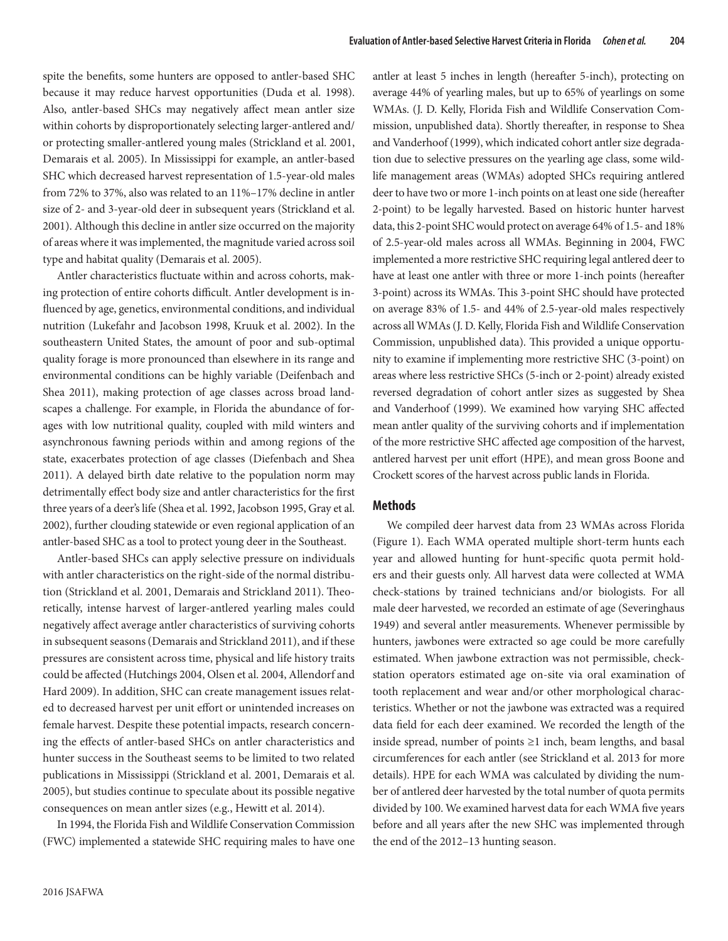spite the benefits, some hunters are opposed to antler-based SHC because it may reduce harvest opportunities (Duda et al. 1998). Also, antler-based SHCs may negatively affect mean antler size within cohorts by disproportionately selecting larger-antlered and/ or protecting smaller-antlered young males (Strickland et al. 2001, Demarais et al. 2005). In Mississippi for example, an antler-based SHC which decreased harvest representation of 1.5-year-old males from 72% to 37%, also was related to an 11%–17% decline in antler size of 2- and 3-year-old deer in subsequent years (Strickland et al. 2001). Although this decline in antler size occurred on the majority of areas where it was implemented, the magnitude varied across soil type and habitat quality (Demarais et al. 2005).

Antler characteristics fluctuate within and across cohorts, making protection of entire cohorts difficult. Antler development is influenced by age, genetics, environmental conditions, and individual nutrition (Lukefahr and Jacobson 1998, Kruuk et al. 2002). In the southeastern United States, the amount of poor and sub-optimal quality forage is more pronounced than elsewhere in its range and environmental conditions can be highly variable (Deifenbach and Shea 2011), making protection of age classes across broad landscapes a challenge. For example, in Florida the abundance of forages with low nutritional quality, coupled with mild winters and asynchronous fawning periods within and among regions of the state, exacerbates protection of age classes (Diefenbach and Shea 2011). A delayed birth date relative to the population norm may detrimentally effect body size and antler characteristics for the first three years of a deer's life (Shea et al. 1992, Jacobson 1995, Gray et al. 2002), further clouding statewide or even regional application of an antler-based SHC as a tool to protect young deer in the Southeast.

Antler-based SHCs can apply selective pressure on individuals with antler characteristics on the right-side of the normal distribution (Strickland et al. 2001, Demarais and Strickland 2011). Theoretically, intense harvest of larger-antlered yearling males could negatively affect average antler characteristics of surviving cohorts in subsequent seasons (Demarais and Strickland 2011), and if these pressures are consistent across time, physical and life history traits could be affected (Hutchings 2004, Olsen et al. 2004, Allendorf and Hard 2009). In addition, SHC can create management issues related to decreased harvest per unit effort or unintended increases on female harvest. Despite these potential impacts, research concerning the effects of antler-based SHCs on antler characteristics and hunter success in the Southeast seems to be limited to two related publications in Mississippi (Strickland et al. 2001, Demarais et al. 2005), but studies continue to speculate about its possible negative consequences on mean antler sizes (e.g., Hewitt et al. 2014).

In 1994, the Florida Fish and Wildlife Conservation Commission (FWC) implemented a statewide SHC requiring males to have one antler at least 5 inches in length (hereafter 5-inch), protecting on average 44% of yearling males, but up to 65% of yearlings on some WMAs. (J. D. Kelly, Florida Fish and Wildlife Conservation Commission, unpublished data). Shortly thereafter, in response to Shea and Vanderhoof (1999), which indicated cohort antler size degradation due to selective pressures on the yearling age class, some wildlife management areas (WMAs) adopted SHCs requiring antlered deer to have two or more 1-inch points on at least one side (hereafter 2-point) to be legally harvested. Based on historic hunter harvest data, this 2-point SHC would protect on average 64% of 1.5- and 18% of 2.5-year-old males across all WMAs. Beginning in 2004, FWC implemented a more restrictive SHC requiring legal antlered deer to have at least one antler with three or more 1-inch points (hereafter 3-point) across its WMAs. This 3-point SHC should have protected on average 83% of 1.5- and 44% of 2.5-year-old males respectively across all WMAs (J. D. Kelly, Florida Fish and Wildlife Conservation Commission, unpublished data). This provided a unique opportunity to examine if implementing more restrictive SHC (3-point) on areas where less restrictive SHCs (5-inch or 2-point) already existed reversed degradation of cohort antler sizes as suggested by Shea and Vanderhoof (1999). We examined how varying SHC affected mean antler quality of the surviving cohorts and if implementation of the more restrictive SHC affected age composition of the harvest, antlered harvest per unit effort (HPE), and mean gross Boone and Crockett scores of the harvest across public lands in Florida.

#### **Methods**

We compiled deer harvest data from 23 WMAs across Florida (Figure 1). Each WMA operated multiple short-term hunts each year and allowed hunting for hunt-specific quota permit holders and their guests only. All harvest data were collected at WMA check-stations by trained technicians and/or biologists. For all male deer harvested, we recorded an estimate of age (Severinghaus 1949) and several antler measurements. Whenever permissible by hunters, jawbones were extracted so age could be more carefully estimated. When jawbone extraction was not permissible, checkstation operators estimated age on-site via oral examination of tooth replacement and wear and/or other morphological characteristics. Whether or not the jawbone was extracted was a required data field for each deer examined. We recorded the length of the inside spread, number of points ≥1 inch, beam lengths, and basal circumferences for each antler (see Strickland et al. 2013 for more details). HPE for each WMA was calculated by dividing the number of antlered deer harvested by the total number of quota permits divided by 100. We examined harvest data for each WMA five years before and all years after the new SHC was implemented through the end of the 2012–13 hunting season.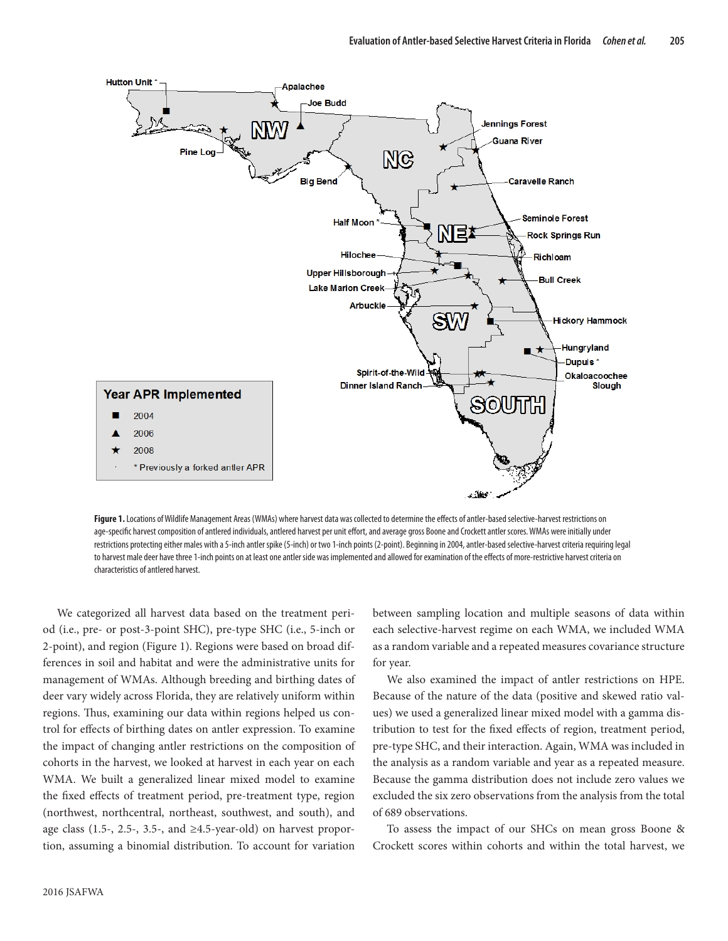

Figure 1. Locations of Wildlife Management Areas (WMAs) where harvest data was collected to determine the effects of antler-based selective-harvest restrictions on age-specific harvest composition of antlered individuals, antlered harvest per unit effort, and average gross Boone and Crockett antler scores. WMAs were initially under restrictions protecting either males with a 5-inch antler spike (5-inch) or two 1-inch points (2-point). Beginning in 2004, antler-based selective-harvest criteria requiring legal to harvest male deer have three 1-inch points on at least one antler side was implemented and allowed for examination of the effects of more-restrictive harvest criteria on characteristics of antlered harvest.

We categorized all harvest data based on the treatment period (i.e., pre- or post-3-point SHC), pre-type SHC (i.e., 5-inch or 2-point), and region (Figure 1). Regions were based on broad differences in soil and habitat and were the administrative units for management of WMAs. Although breeding and birthing dates of deer vary widely across Florida, they are relatively uniform within regions. Thus, examining our data within regions helped us control for effects of birthing dates on antler expression. To examine the impact of changing antler restrictions on the composition of cohorts in the harvest, we looked at harvest in each year on each WMA. We built a generalized linear mixed model to examine the fixed effects of treatment period, pre-treatment type, region (northwest, northcentral, northeast, southwest, and south), and age class (1.5-, 2.5-, 3.5-, and  $\geq$ 4.5-year-old) on harvest proportion, assuming a binomial distribution. To account for variation

between sampling location and multiple seasons of data within each selective-harvest regime on each WMA, we included WMA as a random variable and a repeated measures covariance structure for year.

We also examined the impact of antler restrictions on HPE. Because of the nature of the data (positive and skewed ratio values) we used a generalized linear mixed model with a gamma distribution to test for the fixed effects of region, treatment period, pre-type SHC, and their interaction. Again, WMA was included in the analysis as a random variable and year as a repeated measure. Because the gamma distribution does not include zero values we excluded the six zero observations from the analysis from the total of 689 observations.

To assess the impact of our SHCs on mean gross Boone & Crockett scores within cohorts and within the total harvest, we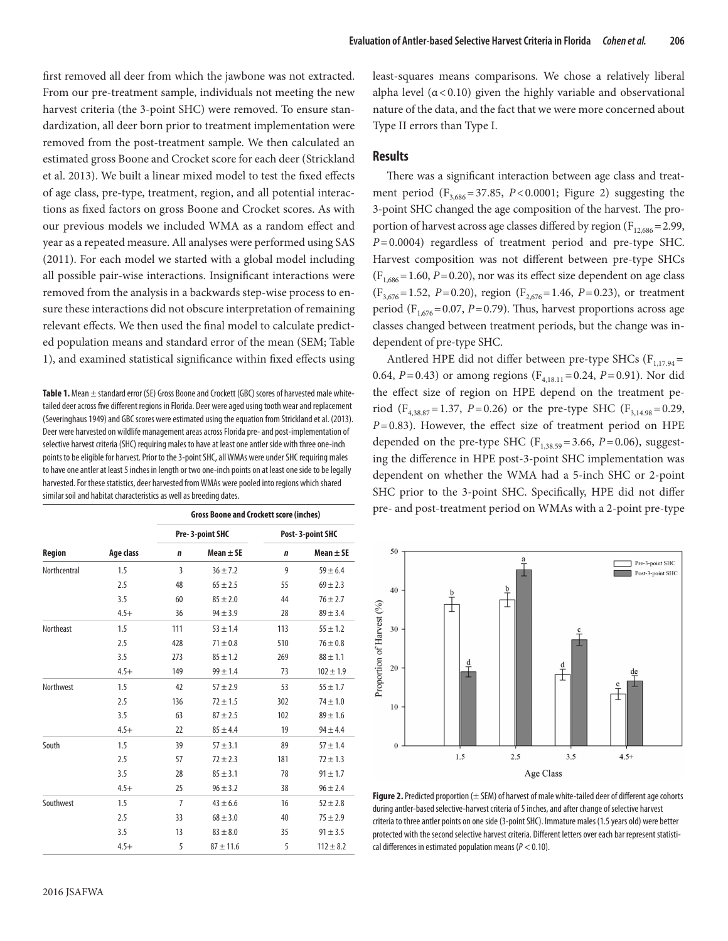first removed all deer from which the jawbone was not extracted. From our pre-treatment sample, individuals not meeting the new harvest criteria (the 3-point SHC) were removed. To ensure standardization, all deer born prior to treatment implementation were removed from the post-treatment sample. We then calculated an estimated gross Boone and Crocket score for each deer (Strickland et al. 2013). We built a linear mixed model to test the fixed effects of age class, pre-type, treatment, region, and all potential interactions as fixed factors on gross Boone and Crocket scores. As with our previous models we included WMA as a random effect and year as a repeated measure. All analyses were performed using SAS (2011). For each model we started with a global model including all possible pair-wise interactions. Insignificant interactions were removed from the analysis in a backwards step-wise process to ensure these interactions did not obscure interpretation of remaining relevant effects. We then used the final model to calculate predicted population means and standard error of the mean (SEM; Table 1), and examined statistical significance within fixed effects using

Table 1. Mean  $\pm$  standard error (SE) Gross Boone and Crockett (GBC) scores of harvested male whitetailed deer across five different regions in Florida. Deer were aged using tooth wear and replacement (Severinghaus 1949) and GBC scores were estimated using the equation from Strickland et al. (2013). Deer were harvested on wildlife management areas across Florida pre- and post-implementation of selective harvest criteria (SHC) requiring males to have at least one antler side with three one-inch points to be eligible for harvest. Prior to the 3-point SHC, all WMAs were under SHC requiring males to have one antler at least 5 inches in length or two one-inch points on at least one side to be legally harvested. For these statistics, deer harvested from WMAs were pooled into regions which shared similar soil and habitat characteristics as well as breeding dates.

|                  | Age class | <b>Gross Boone and Crockett score (inches)</b> |               |                  |               |
|------------------|-----------|------------------------------------------------|---------------|------------------|---------------|
| Region           |           | Pre-3-point SHC                                |               | Post-3-point SHC |               |
|                  |           | $\mathbf n$                                    | Mean $\pm$ SE | $\mathbf n$      | Mean $\pm$ SE |
| Northcentral     | 1.5       | 3                                              | $36 \pm 7.2$  | 9                | $59 \pm 6.4$  |
|                  | 2.5       | 48                                             | $65 \pm 2.5$  | 55               | $69 \pm 2.3$  |
|                  | 3.5       | 60                                             | $85 \pm 2.0$  | 44               | $76 \pm 2.7$  |
|                  | $4.5+$    | 36                                             | $94 \pm 3.9$  | 28               | $89 \pm 3.4$  |
| <b>Northeast</b> | 1.5       | 111                                            | $53 + 1.4$    | 113              | $55 \pm 1.2$  |
|                  | 2.5       | 428                                            | $71 \pm 0.8$  | 510              | $76 \pm 0.8$  |
|                  | 3.5       | 273                                            | $85 \pm 1.2$  | 269              | $88 \pm 1.1$  |
|                  | $4.5+$    | 149                                            | $99 \pm 1.4$  | 73               | $102 \pm 1.9$ |
| <b>Northwest</b> | 1.5       | 42                                             | $57 + 2.9$    | 53               | $55 \pm 1.7$  |
|                  | 2.5       | 136                                            | $72 \pm 1.5$  | 302              | $74 \pm 1.0$  |
|                  | 3.5       | 63                                             | $87 + 2.5$    | 102              | $89 + 1.6$    |
|                  | $4.5+$    | 22                                             | $85 \pm 4.4$  | 19               | $94 \pm 4.4$  |
| South            | 1.5       | 39                                             | $57 + 3.1$    | 89               | $57 \pm 1.4$  |
|                  | 2.5       | 57                                             | $72 \pm 2.3$  | 181              | $72 \pm 1.3$  |
|                  | 3.5       | 28                                             | $85 \pm 3.1$  | 78               | $91 \pm 1.7$  |
|                  | $4.5+$    | 25                                             | $96 \pm 3.2$  | 38               | $96 \pm 2.4$  |
| Southwest        | 1.5       | $\overline{7}$                                 | $43 \pm 6.6$  | 16               | $52 \pm 2.8$  |
|                  | 2.5       | 33                                             | $68 \pm 3.0$  | 40               | $75 + 2.9$    |
|                  | 3.5       | 13                                             | $83 \pm 8.0$  | 35               | $91 \pm 3.5$  |
|                  | $4.5+$    | 5                                              | $87 \pm 11.6$ | 5                | $112 \pm 8.2$ |

least-squares means comparisons. We chose a relatively liberal alpha level  $(\alpha < 0.10)$  given the highly variable and observational nature of the data, and the fact that we were more concerned about Type II errors than Type I.

## **Results**

There was a significant interaction between age class and treatment period  $(F_{3,686} = 37.85, P < 0.0001;$  Figure 2) suggesting the 3-point SHC changed the age composition of the harvest. The proportion of harvest across age classes differed by region  $(F_{12,686}=2.99,$ *P*=0.0004) regardless of treatment period and pre-type SHC. Harvest composition was not different between pre-type SHCs  $(F<sub>1,686</sub> = 1.60, P = 0.20)$ , nor was its effect size dependent on age class  $(F_{3,676}=1.52, P=0.20)$ , region  $(F_{2,676}=1.46, P=0.23)$ , or treatment period ( $F_{1,676}$ =0.07, *P*=0.79). Thus, harvest proportions across age classes changed between treatment periods, but the change was independent of pre-type SHC.

Antlered HPE did not differ between pre-type SHCs ( $F_{1,17.94}$ = 0.64,  $P=0.43$ ) or among regions ( $F_{4,18,11}=0.24$ ,  $P=0.91$ ). Nor did the effect size of region on HPE depend on the treatment period ( $F_{4,38.87}$ =1.37, *P*=0.26) or the pre-type SHC ( $F_{3,14.98}$ =0.29, *P*=0.83). However, the effect size of treatment period on HPE depended on the pre-type SHC ( $F_{1,38,59}$ =3.66, *P*=0.06), suggesting the difference in HPE post-3-point SHC implementation was dependent on whether the WMA had a 5-inch SHC or 2-point SHC prior to the 3-point SHC. Specifically, HPE did not differ pre- and post-treatment period on WMAs with a 2-point pre-type



**Figure 2.** Predicted proportion (± SEM) of harvest of male white-tailed deer of different age cohorts during antler-based selective-harvest criteria of 5 inches, and after change of selective harvest criteria to three antler points on one side (3-point SHC). Immature males (1.5 years old) were better protected with the second selective harvest criteria. Different letters over each bar represent statistical differences in estimated population means (*P* < 0.10).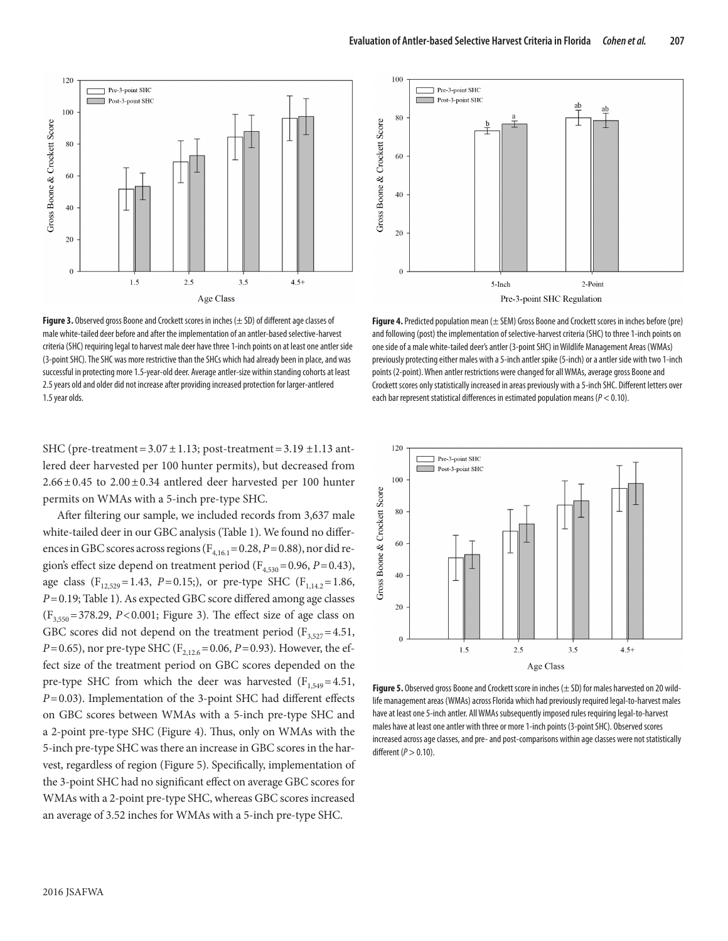

**Figure 3.** Observed gross Boone and Crockett scores in inches (± SD) of different age classes of male white-tailed deer before and after the implementation of an antler-based selective-harvest criteria (SHC) requiring legal to harvest male deer have three 1-inch points on at least one antler side (3-point SHC). The SHC was more restrictive than the SHCs which had already been in place, and was successful in protecting more 1.5-year-old deer. Average antler-size within standing cohorts at least 2.5 years old and older did not increase after providing increased protection for larger-antlered 1.5 year olds.

SHC (pre-treatment =  $3.07 \pm 1.13$ ; post-treatment =  $3.19 \pm 1.13$  antlered deer harvested per 100 hunter permits), but decreased from  $2.66 \pm 0.45$  to  $2.00 \pm 0.34$  antlered deer harvested per 100 hunter permits on WMAs with a 5-inch pre-type SHC.

After filtering our sample, we included records from 3,637 male white-tailed deer in our GBC analysis (Table 1). We found no differences in GBC scores across regions ( $F_{4,16,1}$  = 0.28, *P* = 0.88), nor did region's effect size depend on treatment period ( $F_{4,530}$  = 0.96, *P* = 0.43), age class (F<sub>12,529</sub>=1.43, P=0.15;), or pre-type SHC (F<sub>1142</sub>=1.86, *P*=0.19; Table 1). As expected GBC score differed among age classes  $(F<sub>3,550</sub> = 378.29, P < 0.001$ ; Figure 3). The effect size of age class on GBC scores did not depend on the treatment period ( $F_{3,527}$ =4.51, *P*=0.65), nor pre-type SHC (F<sub>2,12.6</sub>=0.06, *P*=0.93). However, the effect size of the treatment period on GBC scores depended on the pre-type SHC from which the deer was harvested  $(F<sub>1.549</sub>=4.51,$ *P*=0.03). Implementation of the 3-point SHC had different effects on GBC scores between WMAs with a 5-inch pre-type SHC and a 2-point pre-type SHC (Figure 4). Thus, only on WMAs with the 5-inch pre-type SHC was there an increase in GBC scores in the harvest, regardless of region (Figure 5). Specifically, implementation of the 3-point SHC had no significant effect on average GBC scores for WMAs with a 2-point pre-type SHC, whereas GBC scores increased an average of 3.52 inches for WMAs with a 5-inch pre-type SHC.



**Figure 4.** Predicted population mean (± SEM) Gross Boone and Crockett scores in inches before (pre) and following (post) the implementation of selective-harvest criteria (SHC) to three 1-inch points on one side of a male white-tailed deer's antler (3-point SHC) in Wildlife Management Areas (WMAs) previously protecting either males with a 5-inch antler spike (5-inch) or a antler side with two 1-inch points (2-point). When antler restrictions were changed for all WMAs, average gross Boone and Crockett scores only statistically increased in areas previously with a 5-inch SHC. Different letters over each bar represent statistical differences in estimated population means (*P* < 0.10).



**Figure 5.** Observed gross Boone and Crockett score in inches (± SD) for males harvested on 20 wildlife management areas (WMAs) across Florida which had previously required legal-to-harvest males have at least one 5-inch antler. All WMAs subsequently imposed rules requiring legal-to-harvest males have at least one antler with three or more 1-inch points (3-point SHC). Observed scores increased across age classes, and pre- and post-comparisons within age classes were not statistically different (*P* > 0.10).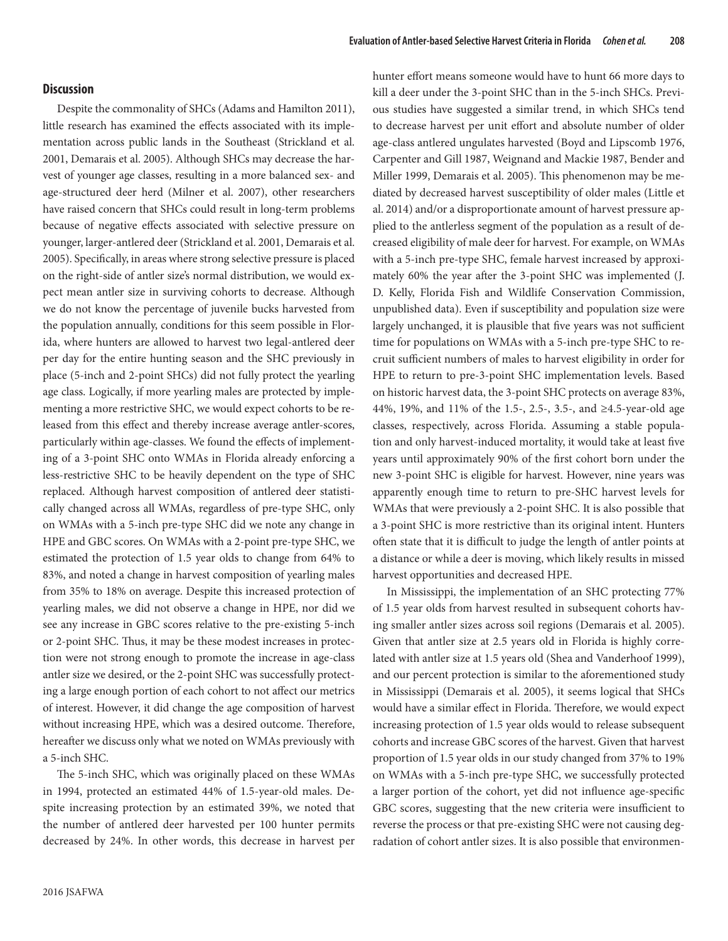## **Discussion**

Despite the commonality of SHCs (Adams and Hamilton 2011), little research has examined the effects associated with its implementation across public lands in the Southeast (Strickland et al. 2001, Demarais et al. 2005). Although SHCs may decrease the harvest of younger age classes, resulting in a more balanced sex- and age-structured deer herd (Milner et al. 2007), other researchers have raised concern that SHCs could result in long-term problems because of negative effects associated with selective pressure on younger, larger-antlered deer (Strickland et al. 2001, Demarais et al. 2005). Specifically, in areas where strong selective pressure is placed on the right-side of antler size's normal distribution, we would expect mean antler size in surviving cohorts to decrease. Although we do not know the percentage of juvenile bucks harvested from the population annually, conditions for this seem possible in Florida, where hunters are allowed to harvest two legal-antlered deer per day for the entire hunting season and the SHC previously in place (5-inch and 2-point SHCs) did not fully protect the yearling age class. Logically, if more yearling males are protected by implementing a more restrictive SHC, we would expect cohorts to be released from this effect and thereby increase average antler-scores, particularly within age-classes. We found the effects of implementing of a 3-point SHC onto WMAs in Florida already enforcing a less-restrictive SHC to be heavily dependent on the type of SHC replaced. Although harvest composition of antlered deer statistically changed across all WMAs, regardless of pre-type SHC, only on WMAs with a 5-inch pre-type SHC did we note any change in HPE and GBC scores. On WMAs with a 2-point pre-type SHC, we estimated the protection of 1.5 year olds to change from 64% to 83%, and noted a change in harvest composition of yearling males from 35% to 18% on average. Despite this increased protection of yearling males, we did not observe a change in HPE, nor did we see any increase in GBC scores relative to the pre-existing 5-inch or 2-point SHC. Thus, it may be these modest increases in protection were not strong enough to promote the increase in age-class antler size we desired, or the 2-point SHC was successfully protecting a large enough portion of each cohort to not affect our metrics of interest. However, it did change the age composition of harvest without increasing HPE, which was a desired outcome. Therefore, hereafter we discuss only what we noted on WMAs previously with a 5-inch SHC.

The 5-inch SHC, which was originally placed on these WMAs in 1994, protected an estimated 44% of 1.5-year-old males. Despite increasing protection by an estimated 39%, we noted that the number of antlered deer harvested per 100 hunter permits decreased by 24%. In other words, this decrease in harvest per hunter effort means someone would have to hunt 66 more days to kill a deer under the 3-point SHC than in the 5-inch SHCs. Previous studies have suggested a similar trend, in which SHCs tend to decrease harvest per unit effort and absolute number of older age-class antlered ungulates harvested (Boyd and Lipscomb 1976, Carpenter and Gill 1987, Weignand and Mackie 1987, Bender and Miller 1999, Demarais et al. 2005). This phenomenon may be mediated by decreased harvest susceptibility of older males (Little et al. 2014) and/or a disproportionate amount of harvest pressure applied to the antlerless segment of the population as a result of decreased eligibility of male deer for harvest. For example, on WMAs with a 5-inch pre-type SHC, female harvest increased by approximately 60% the year after the 3-point SHC was implemented (J. D. Kelly, Florida Fish and Wildlife Conservation Commission, unpublished data). Even if susceptibility and population size were largely unchanged, it is plausible that five years was not sufficient time for populations on WMAs with a 5-inch pre-type SHC to recruit sufficient numbers of males to harvest eligibility in order for HPE to return to pre-3-point SHC implementation levels. Based on historic harvest data, the 3-point SHC protects on average 83%, 44%, 19%, and 11% of the 1.5-, 2.5-, 3.5-, and ≥4.5-year-old age classes, respectively, across Florida. Assuming a stable population and only harvest-induced mortality, it would take at least five years until approximately 90% of the first cohort born under the new 3-point SHC is eligible for harvest. However, nine years was apparently enough time to return to pre-SHC harvest levels for WMAs that were previously a 2-point SHC. It is also possible that a 3-point SHC is more restrictive than its original intent. Hunters often state that it is difficult to judge the length of antler points at a distance or while a deer is moving, which likely results in missed harvest opportunities and decreased HPE.

In Mississippi, the implementation of an SHC protecting 77% of 1.5 year olds from harvest resulted in subsequent cohorts having smaller antler sizes across soil regions (Demarais et al. 2005). Given that antler size at 2.5 years old in Florida is highly correlated with antler size at 1.5 years old (Shea and Vanderhoof 1999), and our percent protection is similar to the aforementioned study in Mississippi (Demarais et al. 2005), it seems logical that SHCs would have a similar effect in Florida. Therefore, we would expect increasing protection of 1.5 year olds would to release subsequent cohorts and increase GBC scores of the harvest. Given that harvest proportion of 1.5 year olds in our study changed from 37% to 19% on WMAs with a 5-inch pre-type SHC, we successfully protected a larger portion of the cohort, yet did not influence age-specific GBC scores, suggesting that the new criteria were insufficient to reverse the process or that pre-existing SHC were not causing degradation of cohort antler sizes. It is also possible that environmen